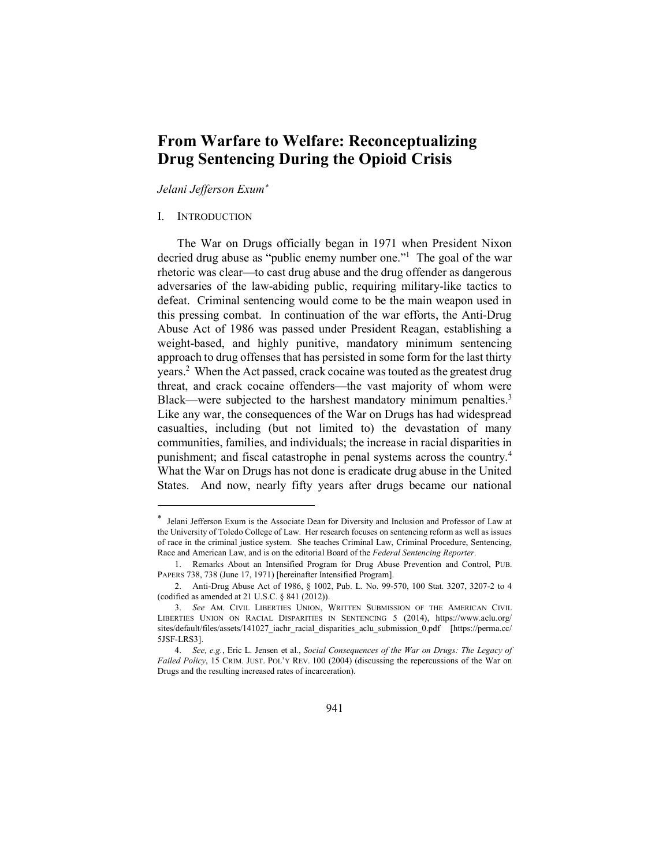# From Warfare to Welfare: Reconceptualizing Drug Sentencing During the Opioid Crisis

Jelani Jefferson Exum

# I. INTRODUCTION

 $\overline{a}$ 

The War on Drugs officially began in 1971 when President Nixon decried drug abuse as "public enemy number one."<sup>1</sup> The goal of the war rhetoric was clear—to cast drug abuse and the drug offender as dangerous adversaries of the law-abiding public, requiring military-like tactics to defeat. Criminal sentencing would come to be the main weapon used in this pressing combat. In continuation of the war efforts, the Anti-Drug Abuse Act of 1986 was passed under President Reagan, establishing a weight-based, and highly punitive, mandatory minimum sentencing approach to drug offenses that has persisted in some form for the last thirty years.<sup>2</sup> When the Act passed, crack cocaine was touted as the greatest drug threat, and crack cocaine offenders—the vast majority of whom were Black—were subjected to the harshest mandatory minimum penalties.<sup>3</sup> Like any war, the consequences of the War on Drugs has had widespread casualties, including (but not limited to) the devastation of many communities, families, and individuals; the increase in racial disparities in punishment; and fiscal catastrophe in penal systems across the country.<sup>4</sup> What the War on Drugs has not done is eradicate drug abuse in the United States. And now, nearly fifty years after drugs became our national

 Jelani Jefferson Exum is the Associate Dean for Diversity and Inclusion and Professor of Law at the University of Toledo College of Law. Her research focuses on sentencing reform as well as issues of race in the criminal justice system. She teaches Criminal Law, Criminal Procedure, Sentencing, Race and American Law, and is on the editorial Board of the Federal Sentencing Reporter.

 <sup>1.</sup> Remarks About an Intensified Program for Drug Abuse Prevention and Control, PUB. PAPERS 738, 738 (June 17, 1971) [hereinafter Intensified Program].

 <sup>2.</sup> Anti-Drug Abuse Act of 1986, § 1002, Pub. L. No. 99-570, 100 Stat. 3207, 3207-2 to 4 (codified as amended at 21 U.S.C. § 841 (2012)).

 <sup>3.</sup> See AM. CIVIL LIBERTIES UNION, WRITTEN SUBMISSION OF THE AMERICAN CIVIL LIBERTIES UNION ON RACIAL DISPARITIES IN SENTENCING 5 (2014), https://www.aclu.org/ sites/default/files/assets/141027\_iachr\_racial\_disparities\_aclu\_submission\_0.pdf [https://perma.cc/ 5JSF-LRS3].

<sup>4.</sup> See, e.g., Eric L. Jensen et al., Social Consequences of the War on Drugs: The Legacy of Failed Policy, 15 CRIM. JUST. POL'Y REV. 100 (2004) (discussing the repercussions of the War on Drugs and the resulting increased rates of incarceration).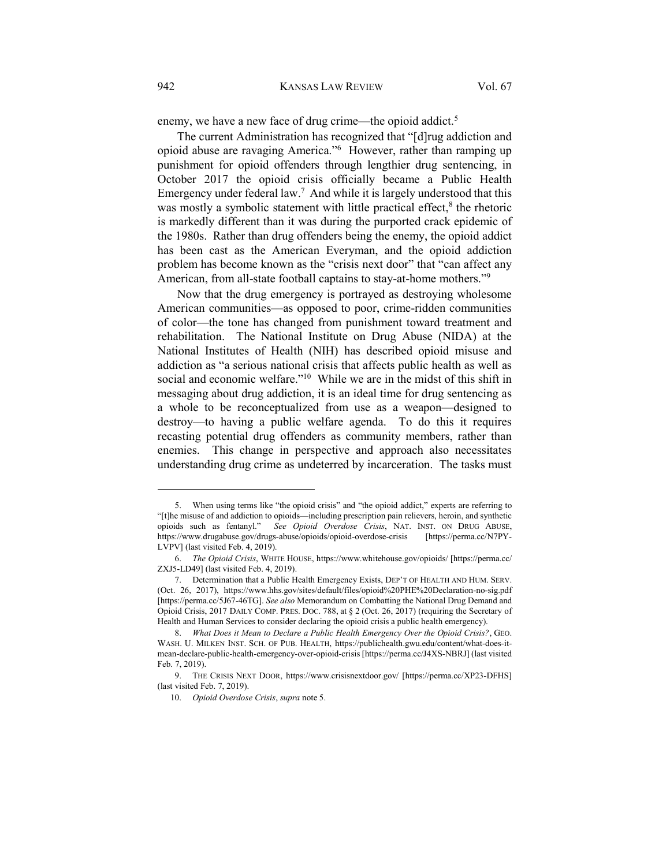enemy, we have a new face of drug crime—the opioid addict.<sup>5</sup>

The current Administration has recognized that "[d]rug addiction and opioid abuse are ravaging America."<sup>6</sup> However, rather than ramping up punishment for opioid offenders through lengthier drug sentencing, in October 2017 the opioid crisis officially became a Public Health Emergency under federal law.<sup>7</sup> And while it is largely understood that this was mostly a symbolic statement with little practical effect, $<sup>8</sup>$  the rhetoric</sup> is markedly different than it was during the purported crack epidemic of the 1980s. Rather than drug offenders being the enemy, the opioid addict has been cast as the American Everyman, and the opioid addiction problem has become known as the "crisis next door" that "can affect any American, from all-state football captains to stay-at-home mothers."<sup>9</sup>

Now that the drug emergency is portrayed as destroying wholesome American communities—as opposed to poor, crime-ridden communities of color—the tone has changed from punishment toward treatment and rehabilitation. The National Institute on Drug Abuse (NIDA) at the National Institutes of Health (NIH) has described opioid misuse and addiction as "a serious national crisis that affects public health as well as social and economic welfare."<sup>10</sup> While we are in the midst of this shift in messaging about drug addiction, it is an ideal time for drug sentencing as a whole to be reconceptualized from use as a weapon—designed to destroy—to having a public welfare agenda. To do this it requires recasting potential drug offenders as community members, rather than enemies. This change in perspective and approach also necessitates understanding drug crime as undeterred by incarceration. The tasks must

 <sup>5.</sup> When using terms like "the opioid crisis" and "the opioid addict," experts are referring to "[t]he misuse of and addiction to opioids—including prescription pain relievers, heroin, and synthetic opioids such as fentanyl." See Opioid Overdose Crisis, NAT. INST. ON DRUG ABUSE, https://www.drugabuse.gov/drugs-abuse/opioids/opioid-overdose-crisis [https://perma.cc/N7PY-LVPV] (last visited Feb. 4, 2019).

 <sup>6.</sup> The Opioid Crisis, WHITE HOUSE, https://www.whitehouse.gov/opioids/ [https://perma.cc/ ZXJ5-LD49] (last visited Feb. 4, 2019).

 <sup>7.</sup> Determination that a Public Health Emergency Exists, DEP'T OF HEALTH AND HUM. SERV. (Oct. 26, 2017), https://www.hhs.gov/sites/default/files/opioid%20PHE%20Declaration-no-sig.pdf [https://perma.cc/5J67-46TG]. See also Memorandum on Combatting the National Drug Demand and Opioid Crisis, 2017 DAILY COMP. PRES. DOC. 788, at § 2 (Oct. 26, 2017) (requiring the Secretary of Health and Human Services to consider declaring the opioid crisis a public health emergency).

 <sup>8.</sup> What Does it Mean to Declare a Public Health Emergency Over the Opioid Crisis?, GEO. WASH. U. MILKEN INST. SCH. OF PUB. HEALTH, https://publichealth.gwu.edu/content/what-does-itmean-declare-public-health-emergency-over-opioid-crisis [https://perma.cc/J4XS-NBRJ] (last visited Feb. 7, 2019).

 <sup>9.</sup> THE CRISIS NEXT DOOR, https://www.crisisnextdoor.gov/ [https://perma.cc/XP23-DFHS] (last visited Feb. 7, 2019).

 <sup>10.</sup> Opioid Overdose Crisis, supra note 5.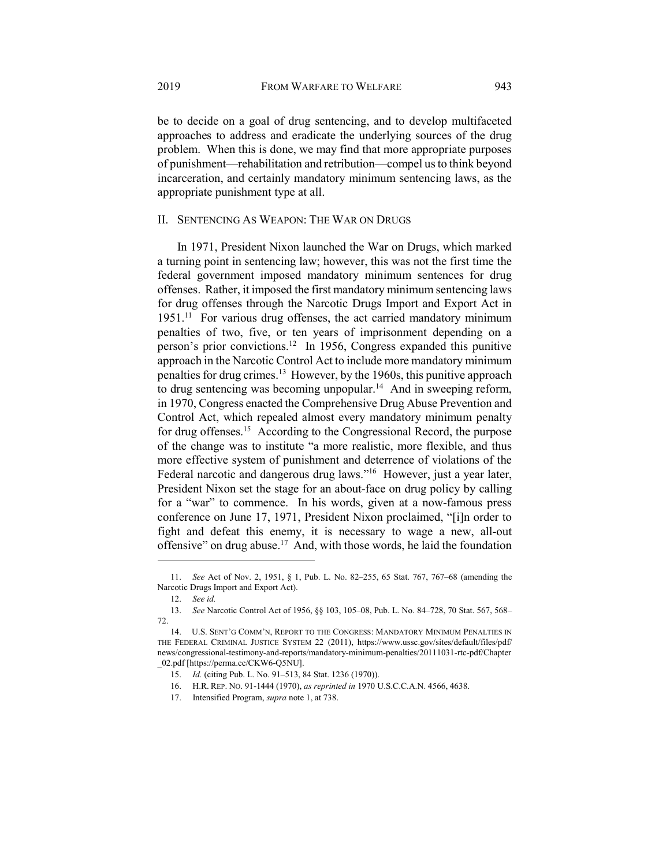be to decide on a goal of drug sentencing, and to develop multifaceted approaches to address and eradicate the underlying sources of the drug problem. When this is done, we may find that more appropriate purposes of punishment—rehabilitation and retribution—compel us to think beyond incarceration, and certainly mandatory minimum sentencing laws, as the appropriate punishment type at all.

# II. SENTENCING AS WEAPON: THE WAR ON DRUGS

In 1971, President Nixon launched the War on Drugs, which marked a turning point in sentencing law; however, this was not the first time the federal government imposed mandatory minimum sentences for drug offenses. Rather, it imposed the first mandatory minimum sentencing laws for drug offenses through the Narcotic Drugs Import and Export Act in 1951.<sup>11</sup> For various drug offenses, the act carried mandatory minimum penalties of two, five, or ten years of imprisonment depending on a person's prior convictions.<sup>12</sup> In 1956, Congress expanded this punitive approach in the Narcotic Control Act to include more mandatory minimum penalties for drug crimes.<sup>13</sup> However, by the 1960s, this punitive approach to drug sentencing was becoming unpopular.<sup>14</sup> And in sweeping reform, in 1970, Congress enacted the Comprehensive Drug Abuse Prevention and Control Act, which repealed almost every mandatory minimum penalty for drug offenses.<sup>15</sup> According to the Congressional Record, the purpose of the change was to institute "a more realistic, more flexible, and thus more effective system of punishment and deterrence of violations of the Federal narcotic and dangerous drug laws."<sup>16</sup> However, just a year later, President Nixon set the stage for an about-face on drug policy by calling for a "war" to commence. In his words, given at a now-famous press conference on June 17, 1971, President Nixon proclaimed, "[i]n order to fight and defeat this enemy, it is necessary to wage a new, all-out offensive" on drug abuse.<sup>17</sup> And, with those words, he laid the foundation

 <sup>11.</sup> See Act of Nov. 2, 1951, § 1, Pub. L. No. 82–255, 65 Stat. 767, 767–68 (amending the Narcotic Drugs Import and Export Act).

 <sup>12.</sup> See id.

 <sup>13.</sup> See Narcotic Control Act of 1956, §§ 103, 105–08, Pub. L. No. 84–728, 70 Stat. 567, 568– 72.

 <sup>14.</sup> U.S. SENT'G COMM'N, REPORT TO THE CONGRESS: MANDATORY MINIMUM PENALTIES IN THE FEDERAL CRIMINAL JUSTICE SYSTEM 22 (2011), https://www.ussc.gov/sites/default/files/pdf/ news/congressional-testimony-and-reports/mandatory-minimum-penalties/20111031-rtc-pdf/Chapter \_02.pdf [https://perma.cc/CKW6-Q5NU].

 <sup>15.</sup> Id. (citing Pub. L. No. 91–513, 84 Stat. 1236 (1970)).

 <sup>16.</sup> H.R. REP. NO. 91-1444 (1970), as reprinted in 1970 U.S.C.C.A.N. 4566, 4638.

 <sup>17.</sup> Intensified Program, supra note 1, at 738.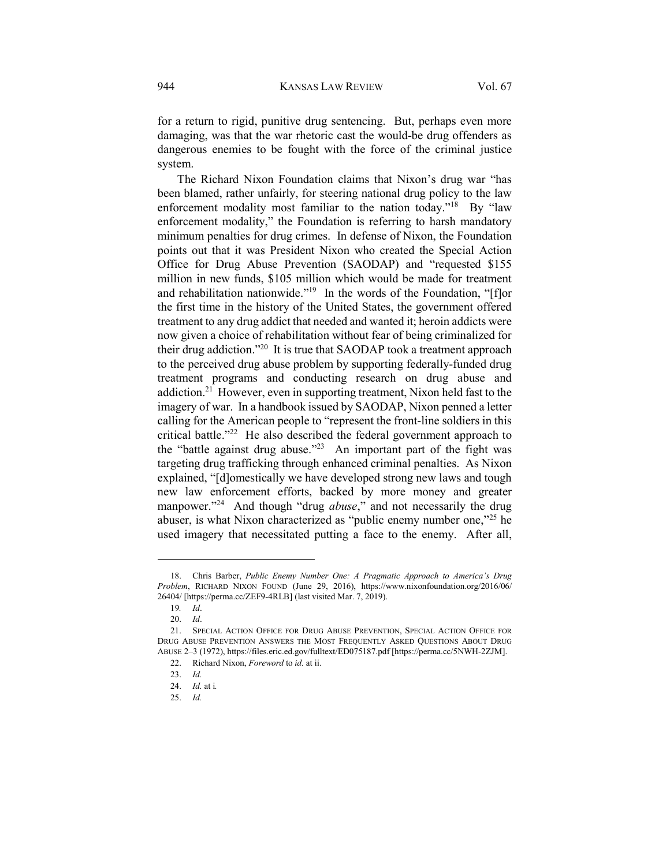for a return to rigid, punitive drug sentencing. But, perhaps even more damaging, was that the war rhetoric cast the would-be drug offenders as dangerous enemies to be fought with the force of the criminal justice system.

The Richard Nixon Foundation claims that Nixon's drug war "has been blamed, rather unfairly, for steering national drug policy to the law enforcement modality most familiar to the nation today."<sup>18</sup> By "law enforcement modality," the Foundation is referring to harsh mandatory minimum penalties for drug crimes. In defense of Nixon, the Foundation points out that it was President Nixon who created the Special Action Office for Drug Abuse Prevention (SAODAP) and "requested \$155 million in new funds, \$105 million which would be made for treatment and rehabilitation nationwide."<sup>19</sup> In the words of the Foundation, "[f]or the first time in the history of the United States, the government offered treatment to any drug addict that needed and wanted it; heroin addicts were now given a choice of rehabilitation without fear of being criminalized for their drug addiction."<sup>20</sup> It is true that SAODAP took a treatment approach to the perceived drug abuse problem by supporting federally-funded drug treatment programs and conducting research on drug abuse and addiction.<sup>21</sup> However, even in supporting treatment, Nixon held fast to the imagery of war. In a handbook issued by SAODAP, Nixon penned a letter calling for the American people to "represent the front-line soldiers in this critical battle."<sup>22</sup> He also described the federal government approach to the "battle against drug abuse."<sup>23</sup> An important part of the fight was targeting drug trafficking through enhanced criminal penalties. As Nixon explained, "[d]omestically we have developed strong new laws and tough new law enforcement efforts, backed by more money and greater manpower."<sup>24</sup> And though "drug *abuse*," and not necessarily the drug abuser, is what Nixon characterized as "public enemy number one,"<sup>25</sup> he used imagery that necessitated putting a face to the enemy. After all,

 <sup>18.</sup> Chris Barber, Public Enemy Number One: A Pragmatic Approach to America's Drug Problem, RICHARD NIXON FOUND (June 29, 2016), https://www.nixonfoundation.org/2016/06/ 26404/ [https://perma.cc/ZEF9-4RLB] (last visited Mar. 7, 2019).

<sup>19</sup>. Id.

 <sup>20.</sup> Id.

 <sup>21.</sup> SPECIAL ACTION OFFICE FOR DRUG ABUSE PREVENTION, SPECIAL ACTION OFFICE FOR DRUG ABUSE PREVENTION ANSWERS THE MOST FREQUENTLY ASKED QUESTIONS ABOUT DRUG ABUSE 2–3 (1972), https://files.eric.ed.gov/fulltext/ED075187.pdf [https://perma.cc/5NWH-2ZJM].

 <sup>22.</sup> Richard Nixon, Foreword to id. at ii.

 <sup>23.</sup> Id.

 <sup>24.</sup> Id. at i.

 <sup>25.</sup> Id.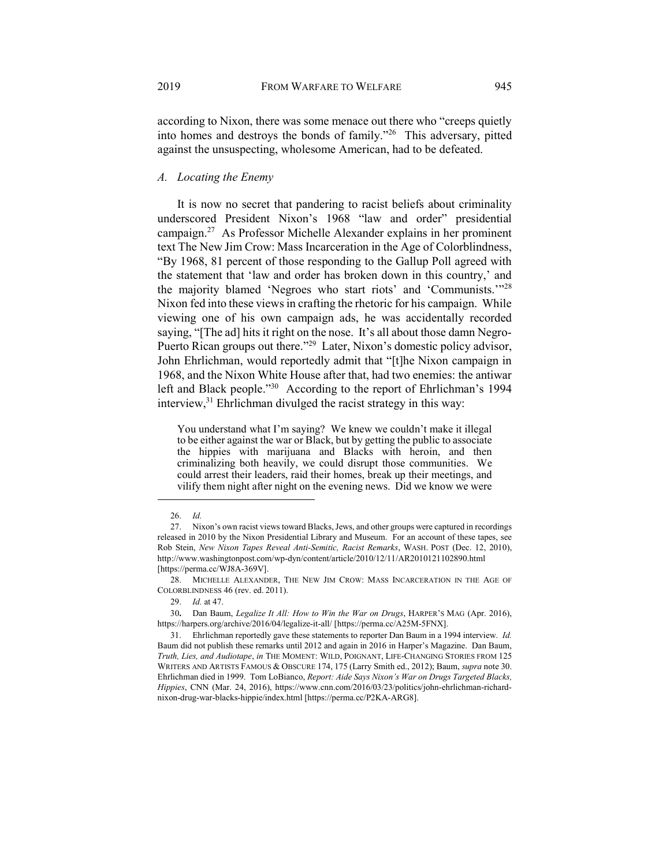according to Nixon, there was some menace out there who "creeps quietly into homes and destroys the bonds of family."<sup>26</sup> This adversary, pitted against the unsuspecting, wholesome American, had to be defeated.

## A. Locating the Enemy

It is now no secret that pandering to racist beliefs about criminality underscored President Nixon's 1968 "law and order" presidential campaign.<sup>27</sup> As Professor Michelle Alexander explains in her prominent text The New Jim Crow: Mass Incarceration in the Age of Colorblindness, "By 1968, 81 percent of those responding to the Gallup Poll agreed with the statement that 'law and order has broken down in this country,' and the majority blamed 'Negroes who start riots' and 'Communists.'"<sup>28</sup> Nixon fed into these views in crafting the rhetoric for his campaign. While viewing one of his own campaign ads, he was accidentally recorded saying, "[The ad] hits it right on the nose. It's all about those damn Negro-Puerto Rican groups out there."<sup>29</sup> Later, Nixon's domestic policy advisor, John Ehrlichman, would reportedly admit that "[t]he Nixon campaign in 1968, and the Nixon White House after that, had two enemies: the antiwar left and Black people."<sup>30</sup> According to the report of Ehrlichman's 1994 interview,<sup>31</sup> Ehrlichman divulged the racist strategy in this way:

You understand what I'm saying? We knew we couldn't make it illegal to be either against the war or Black, but by getting the public to associate the hippies with marijuana and Blacks with heroin, and then criminalizing both heavily, we could disrupt those communities. We could arrest their leaders, raid their homes, break up their meetings, and vilify them night after night on the evening news. Did we know we were

 <sup>26.</sup> Id.

 <sup>27.</sup> Nixon's own racist views toward Blacks, Jews, and other groups were captured in recordings released in 2010 by the Nixon Presidential Library and Museum. For an account of these tapes, see Rob Stein, New Nixon Tapes Reveal Anti-Semitic, Racist Remarks, WASH. POST (Dec. 12, 2010), http://www.washingtonpost.com/wp-dyn/content/article/2010/12/11/AR2010121102890.html [https://perma.cc/WJ8A-369V].

 <sup>28.</sup> MICHELLE ALEXANDER, THE NEW JIM CROW: MASS INCARCERATION IN THE AGE OF COLORBLINDNESS 46 (rev. ed. 2011).

 <sup>29.</sup> Id. at 47.

<sup>30</sup>. Dan Baum, Legalize It All: How to Win the War on Drugs, HARPER'S MAG (Apr. 2016), https://harpers.org/archive/2016/04/legalize-it-all/ [https://perma.cc/A25M-5FNX].

 <sup>31.</sup> Ehrlichman reportedly gave these statements to reporter Dan Baum in a 1994 interview. Id. Baum did not publish these remarks until 2012 and again in 2016 in Harper's Magazine. Dan Baum, Truth, Lies, and Audiotape, in THE MOMENT: WILD, POIGNANT, LIFE-CHANGING STORIES FROM 125 WRITERS AND ARTISTS FAMOUS & OBSCURE 174, 175 (Larry Smith ed., 2012); Baum, supra note 30. Ehrlichman died in 1999. Tom LoBianco, Report: Aide Says Nixon's War on Drugs Targeted Blacks, Hippies, CNN (Mar. 24, 2016), https://www.cnn.com/2016/03/23/politics/john-ehrlichman-richardnixon-drug-war-blacks-hippie/index.html [https://perma.cc/P2KA-ARG8].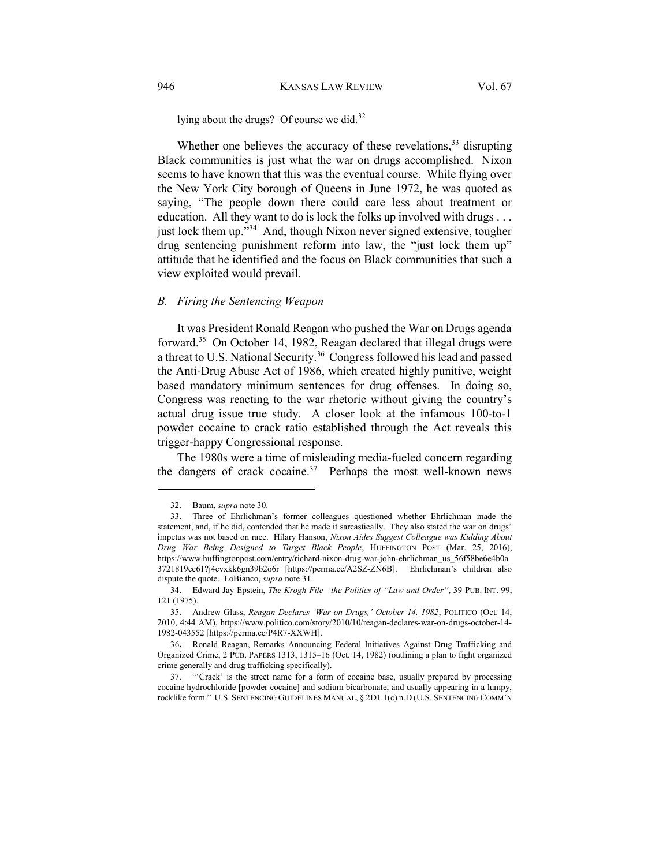lying about the drugs? Of course we did.<sup>32</sup>

Whether one believes the accuracy of these revelations,  $33$  disrupting Black communities is just what the war on drugs accomplished. Nixon seems to have known that this was the eventual course. While flying over the New York City borough of Queens in June 1972, he was quoted as saying, "The people down there could care less about treatment or education. All they want to do is lock the folks up involved with drugs . . . just lock them up."<sup>34</sup> And, though Nixon never signed extensive, tougher drug sentencing punishment reform into law, the "just lock them up" attitude that he identified and the focus on Black communities that such a view exploited would prevail.

# B. Firing the Sentencing Weapon

It was President Ronald Reagan who pushed the War on Drugs agenda forward.<sup>35</sup> On October 14, 1982, Reagan declared that illegal drugs were a threat to U.S. National Security.<sup>36</sup> Congress followed his lead and passed the Anti-Drug Abuse Act of 1986, which created highly punitive, weight based mandatory minimum sentences for drug offenses. In doing so, Congress was reacting to the war rhetoric without giving the country's actual drug issue true study. A closer look at the infamous 100-to-1 powder cocaine to crack ratio established through the Act reveals this trigger-happy Congressional response.

The 1980s were a time of misleading media-fueled concern regarding the dangers of crack cocaine. $37$  Perhaps the most well-known news

 <sup>32.</sup> Baum, supra note 30.

 <sup>33.</sup> Three of Ehrlichman's former colleagues questioned whether Ehrlichman made the statement, and, if he did, contended that he made it sarcastically. They also stated the war on drugs' impetus was not based on race. Hilary Hanson, Nixon Aides Suggest Colleague was Kidding About Drug War Being Designed to Target Black People, HUFFINGTON POST (Mar. 25, 2016), https://www.huffingtonpost.com/entry/richard-nixon-drug-war-john-ehrlichman\_us\_56f58be6e4b0a 3721819ec61?j4cvxkk6gn39b2o6r [https://perma.cc/A2SZ-ZN6B]. Ehrlichman's children also dispute the quote. LoBianco, supra note 31.

<sup>34.</sup> Edward Jay Epstein, The Krogh File-the Politics of "Law and Order", 39 PUB. INT. 99, 121 (1975).

 <sup>35.</sup> Andrew Glass, Reagan Declares 'War on Drugs,' October 14, 1982, POLITICO (Oct. 14, 2010, 4:44 AM), https://www.politico.com/story/2010/10/reagan-declares-war-on-drugs-october-14- 1982-043552 [https://perma.cc/P4R7-XXWH].

<sup>36</sup>. Ronald Reagan, Remarks Announcing Federal Initiatives Against Drug Trafficking and Organized Crime, 2 PUB. PAPERS 1313, 1315–16 (Oct. 14, 1982) (outlining a plan to fight organized crime generally and drug trafficking specifically).

 <sup>37. &</sup>quot;'Crack' is the street name for a form of cocaine base, usually prepared by processing cocaine hydrochloride [powder cocaine] and sodium bicarbonate, and usually appearing in a lumpy, rocklike form." U.S. SENTENCING GUIDELINES MANUAL, § 2D1.1(c) n.D (U.S. SENTENCING COMM'N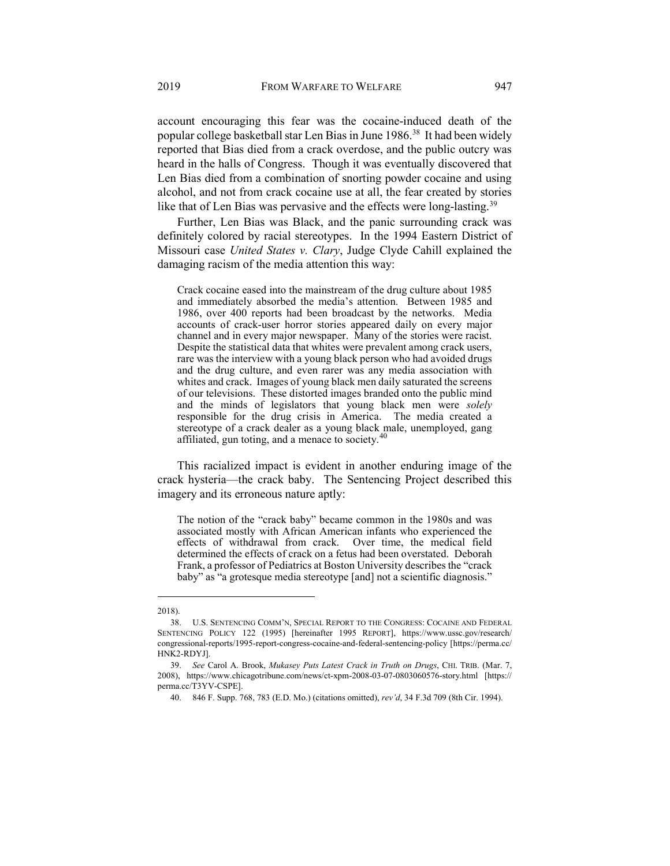account encouraging this fear was the cocaine-induced death of the popular college basketball star Len Bias in June 1986.<sup>38</sup> It had been widely reported that Bias died from a crack overdose, and the public outcry was heard in the halls of Congress. Though it was eventually discovered that Len Bias died from a combination of snorting powder cocaine and using alcohol, and not from crack cocaine use at all, the fear created by stories like that of Len Bias was pervasive and the effects were long-lasting.<sup>39</sup>

Further, Len Bias was Black, and the panic surrounding crack was definitely colored by racial stereotypes. In the 1994 Eastern District of Missouri case United States v. Clary, Judge Clyde Cahill explained the damaging racism of the media attention this way:

Crack cocaine eased into the mainstream of the drug culture about 1985 and immediately absorbed the media's attention. Between 1985 and 1986, over 400 reports had been broadcast by the networks. Media accounts of crack-user horror stories appeared daily on every major channel and in every major newspaper. Many of the stories were racist. Despite the statistical data that whites were prevalent among crack users, rare was the interview with a young black person who had avoided drugs and the drug culture, and even rarer was any media association with whites and crack. Images of young black men daily saturated the screens of our televisions. These distorted images branded onto the public mind and the minds of legislators that young black men were solely responsible for the drug crisis in America. The media created a stereotype of a crack dealer as a young black male, unemployed, gang affiliated, gun toting, and a menace to society. $40$ 

This racialized impact is evident in another enduring image of the crack hysteria—the crack baby. The Sentencing Project described this imagery and its erroneous nature aptly:

The notion of the "crack baby" became common in the 1980s and was associated mostly with African American infants who experienced the effects of withdrawal from crack. Over time, the medical field determined the effects of crack on a fetus had been overstated. Deborah Frank, a professor of Pediatrics at Boston University describes the "crack baby" as "a grotesque media stereotype [and] not a scientific diagnosis."

<sup>2018).</sup> 

 <sup>38.</sup> U.S. SENTENCING COMM'N, SPECIAL REPORT TO THE CONGRESS: COCAINE AND FEDERAL SENTENCING POLICY 122 (1995) [hereinafter 1995 REPORT], https://www.ussc.gov/research/ congressional-reports/1995-report-congress-cocaine-and-federal-sentencing-policy [https://perma.cc/ HNK2-RDYJ].

<sup>39.</sup> See Carol A. Brook, Mukasey Puts Latest Crack in Truth on Drugs, CHI. TRIB. (Mar. 7, 2008), https://www.chicagotribune.com/news/ct-xpm-2008-03-07-0803060576-story.html [https:// perma.cc/T3YV-CSPE].

 <sup>40. 846</sup> F. Supp. 768, 783 (E.D. Mo.) (citations omitted), rev'd, 34 F.3d 709 (8th Cir. 1994).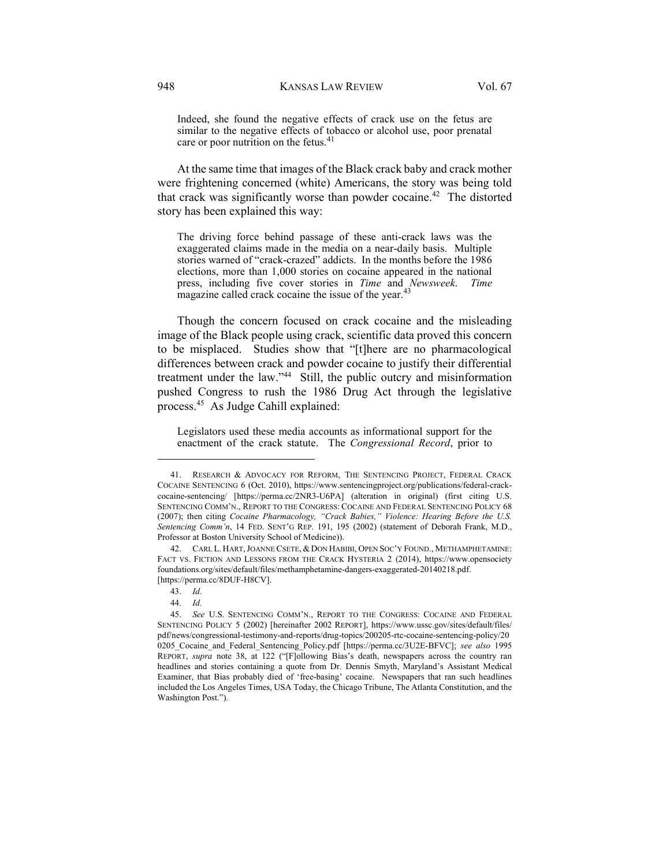Indeed, she found the negative effects of crack use on the fetus are similar to the negative effects of tobacco or alcohol use, poor prenatal care or poor nutrition on the fetus.<sup>41</sup>

At the same time that images of the Black crack baby and crack mother were frightening concerned (white) Americans, the story was being told that crack was significantly worse than powder cocaine.<sup>42</sup> The distorted story has been explained this way:

The driving force behind passage of these anti-crack laws was the exaggerated claims made in the media on a near-daily basis. Multiple stories warned of "crack-crazed" addicts. In the months before the 1986 elections, more than 1,000 stories on cocaine appeared in the national press, including five cover stories in Time and Newsweek. Time magazine called crack cocaine the issue of the year.<sup>43</sup>

Though the concern focused on crack cocaine and the misleading image of the Black people using crack, scientific data proved this concern to be misplaced. Studies show that "[t]here are no pharmacological differences between crack and powder cocaine to justify their differential treatment under the law."<sup>44</sup> Still, the public outcry and misinformation pushed Congress to rush the 1986 Drug Act through the legislative process.<sup>45</sup> As Judge Cahill explained:

Legislators used these media accounts as informational support for the enactment of the crack statute. The Congressional Record, prior to

 <sup>41.</sup> RESEARCH & ADVOCACY FOR REFORM, THE SENTENCING PROJECT, FEDERAL CRACK COCAINE SENTENCING 6 (Oct. 2010), https://www.sentencingproject.org/publications/federal-crackcocaine-sentencing/ [https://perma.cc/2NR3-U6PA] (alteration in original) (first citing U.S. SENTENCING COMM'N., REPORT TO THE CONGRESS: COCAINE AND FEDERAL SENTENCING POLICY 68 (2007); then citing Cocaine Pharmacology, "Crack Babies," Violence: Hearing Before the U.S. Sentencing Comm'n, 14 FED. SENT'G REP. 191, 195 (2002) (statement of Deborah Frank, M.D., Professor at Boston University School of Medicine)).

 <sup>42.</sup> CARL L. HART,JOANNE CSETE, &DON HABIBI, OPEN SOC'Y FOUND., METHAMPHETAMINE: FACT VS. FICTION AND LESSONS FROM THE CRACK HYSTERIA 2 (2014), https://www.opensociety foundations.org/sites/default/files/methamphetamine-dangers-exaggerated-20140218.pdf. [https://perma.cc/8DUF-H8CV].

 <sup>43.</sup> Id.

 <sup>44.</sup> Id.

 <sup>45.</sup> See U.S. SENTENCING COMM'N., REPORT TO THE CONGRESS: COCAINE AND FEDERAL SENTENCING POLICY 5 (2002) [hereinafter 2002 REPORT], https://www.ussc.gov/sites/default/files/ pdf/news/congressional-testimony-and-reports/drug-topics/200205-rtc-cocaine-sentencing-policy/20 0205 Cocaine and Federal Sentencing Policy.pdf [https://perma.cc/3U2E-BFVC]; see also 1995 REPORT, supra note 38, at 122 ("[F]ollowing Bias's death, newspapers across the country ran headlines and stories containing a quote from Dr. Dennis Smyth, Maryland's Assistant Medical Examiner, that Bias probably died of 'free-basing' cocaine. Newspapers that ran such headlines included the Los Angeles Times, USA Today, the Chicago Tribune, The Atlanta Constitution, and the Washington Post.").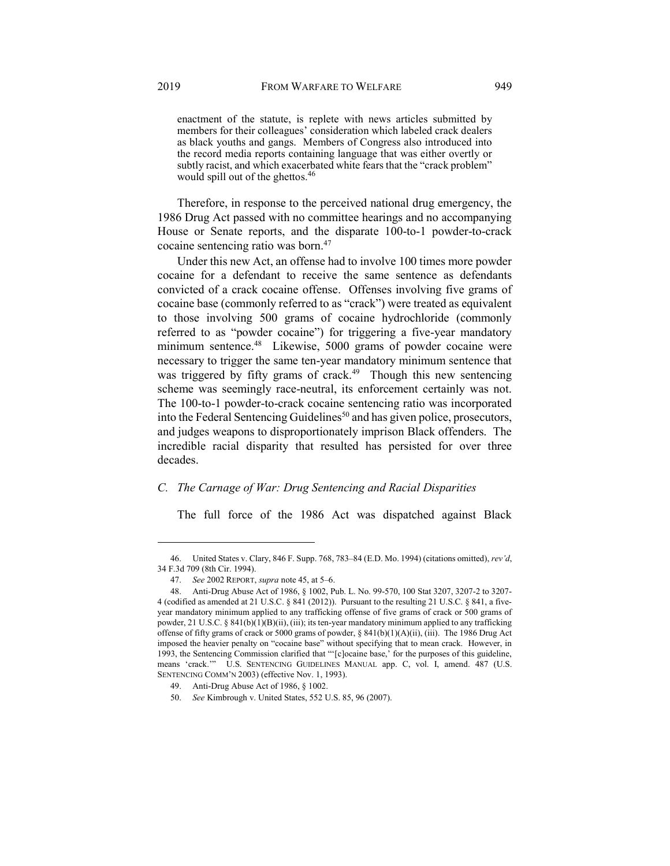enactment of the statute, is replete with news articles submitted by members for their colleagues' consideration which labeled crack dealers as black youths and gangs. Members of Congress also introduced into the record media reports containing language that was either overtly or subtly racist, and which exacerbated white fears that the "crack problem" would spill out of the ghettos.<sup>46</sup>

Therefore, in response to the perceived national drug emergency, the 1986 Drug Act passed with no committee hearings and no accompanying House or Senate reports, and the disparate 100-to-1 powder-to-crack cocaine sentencing ratio was born.<sup>47</sup>

Under this new Act, an offense had to involve 100 times more powder cocaine for a defendant to receive the same sentence as defendants convicted of a crack cocaine offense. Offenses involving five grams of cocaine base (commonly referred to as "crack") were treated as equivalent to those involving 500 grams of cocaine hydrochloride (commonly referred to as "powder cocaine") for triggering a five-year mandatory minimum sentence.<sup>48</sup> Likewise, 5000 grams of powder cocaine were necessary to trigger the same ten-year mandatory minimum sentence that was triggered by fifty grams of crack.<sup>49</sup> Though this new sentencing scheme was seemingly race-neutral, its enforcement certainly was not. The 100-to-1 powder-to-crack cocaine sentencing ratio was incorporated into the Federal Sentencing Guidelines<sup>50</sup> and has given police, prosecutors, and judges weapons to disproportionately imprison Black offenders. The incredible racial disparity that resulted has persisted for over three decades.

# C. The Carnage of War: Drug Sentencing and Racial Disparities

The full force of the 1986 Act was dispatched against Black

 <sup>46.</sup> United States v. Clary, 846 F. Supp. 768, 783–84 (E.D. Mo. 1994) (citations omitted), rev'd, 34 F.3d 709 (8th Cir. 1994).

<sup>47.</sup> See 2002 REPORT, *supra* note 45, at 5–6.

 <sup>48.</sup> Anti-Drug Abuse Act of 1986, § 1002, Pub. L. No. 99-570, 100 Stat 3207, 3207-2 to 3207- 4 (codified as amended at 21 U.S.C. § 841 (2012)). Pursuant to the resulting 21 U.S.C. § 841, a fiveyear mandatory minimum applied to any trafficking offense of five grams of crack or 500 grams of powder, 21 U.S.C. § 841(b)(1)(B)(ii), (iii); its ten-year mandatory minimum applied to any trafficking offense of fifty grams of crack or 5000 grams of powder, § 841(b)(1)(A)(ii), (iii). The 1986 Drug Act imposed the heavier penalty on "cocaine base" without specifying that to mean crack. However, in 1993, the Sentencing Commission clarified that "'[c]ocaine base,' for the purposes of this guideline, means 'crack.'" U.S. SENTENCING GUIDELINES MANUAL app. C, vol. I, amend. 487 (U.S. SENTENCING COMM'N 2003) (effective Nov. 1, 1993).

 <sup>49.</sup> Anti-Drug Abuse Act of 1986, § 1002.

 <sup>50.</sup> See Kimbrough v. United States, 552 U.S. 85, 96 (2007).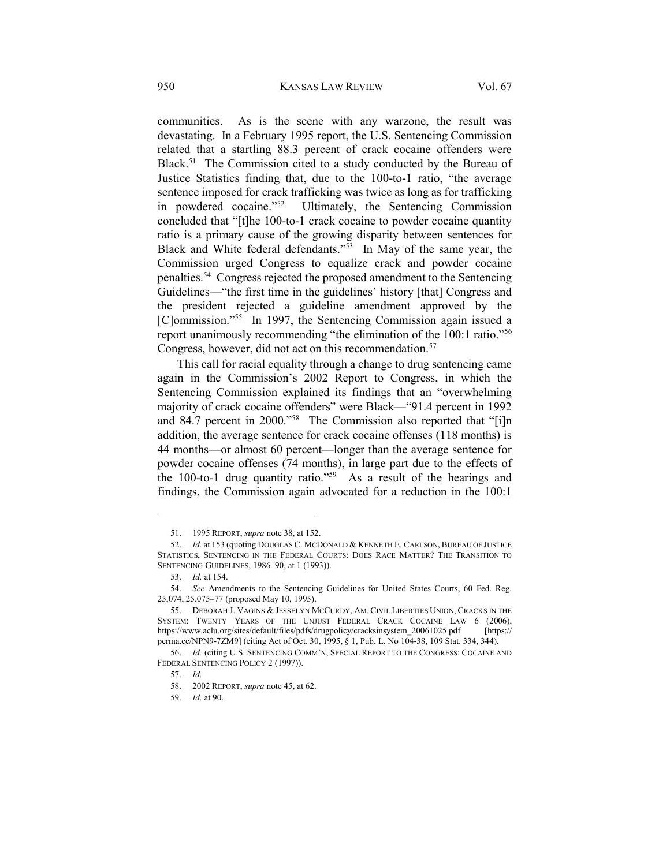communities. As is the scene with any warzone, the result was devastating. In a February 1995 report, the U.S. Sentencing Commission related that a startling 88.3 percent of crack cocaine offenders were Black.<sup>51</sup> The Commission cited to a study conducted by the Bureau of Justice Statistics finding that, due to the 100-to-1 ratio, "the average sentence imposed for crack trafficking was twice as long as for trafficking in powdered cocaine."<sup>52</sup> Ultimately, the Sentencing Commission concluded that "[t]he 100-to-1 crack cocaine to powder cocaine quantity ratio is a primary cause of the growing disparity between sentences for Black and White federal defendants."<sup>53</sup> In May of the same year, the Commission urged Congress to equalize crack and powder cocaine penalties.<sup>54</sup> Congress rejected the proposed amendment to the Sentencing Guidelines—"the first time in the guidelines' history [that] Congress and the president rejected a guideline amendment approved by the [C]ommission."<sup>55</sup> In 1997, the Sentencing Commission again issued a report unanimously recommending "the elimination of the 100:1 ratio."<sup>56</sup> Congress, however, did not act on this recommendation.<sup>57</sup>

This call for racial equality through a change to drug sentencing came again in the Commission's 2002 Report to Congress, in which the Sentencing Commission explained its findings that an "overwhelming majority of crack cocaine offenders" were Black—"91.4 percent in 1992 and 84.7 percent in 2000."<sup>58</sup> The Commission also reported that "[i]n addition, the average sentence for crack cocaine offenses (118 months) is 44 months—or almost 60 percent—longer than the average sentence for powder cocaine offenses (74 months), in large part due to the effects of the 100-to-1 drug quantity ratio."<sup>59</sup> As a result of the hearings and findings, the Commission again advocated for a reduction in the 100:1

 <sup>51. 1995</sup> REPORT, supra note 38, at 152.

 <sup>52.</sup> Id. at 153 (quoting DOUGLAS C. MCDONALD & KENNETH E. CARLSON, BUREAU OF JUSTICE STATISTICS, SENTENCING IN THE FEDERAL COURTS: DOES RACE MATTER? THE TRANSITION TO SENTENCING GUIDELINES, 1986–90, at 1 (1993)).

 <sup>53.</sup> Id. at 154.

 <sup>54.</sup> See Amendments to the Sentencing Guidelines for United States Courts, 60 Fed. Reg. 25,074, 25,075–77 (proposed May 10, 1995).

 <sup>55.</sup> DEBORAH J. VAGINS & JESSELYN MCCURDY, AM. CIVIL LIBERTIES UNION, CRACKS IN THE SYSTEM: TWENTY YEARS OF THE UNJUST FEDERAL CRACK COCAINE LAW 6 (2006), https://www.aclu.org/sites/default/files/pdfs/drugpolicy/cracksinsystem\_20061025.pdf [https:// perma.cc/NPN9-7ZM9] (citing Act of Oct. 30, 1995, § 1, Pub. L. No 104-38, 109 Stat. 334, 344).

 <sup>56.</sup> Id. (citing U.S. SENTENCING COMM'N, SPECIAL REPORT TO THE CONGRESS: COCAINE AND FEDERAL SENTENCING POLICY 2 (1997)).

 <sup>57.</sup> Id.

 <sup>58. 2002</sup> REPORT, supra note 45, at 62.

 <sup>59.</sup> Id. at 90.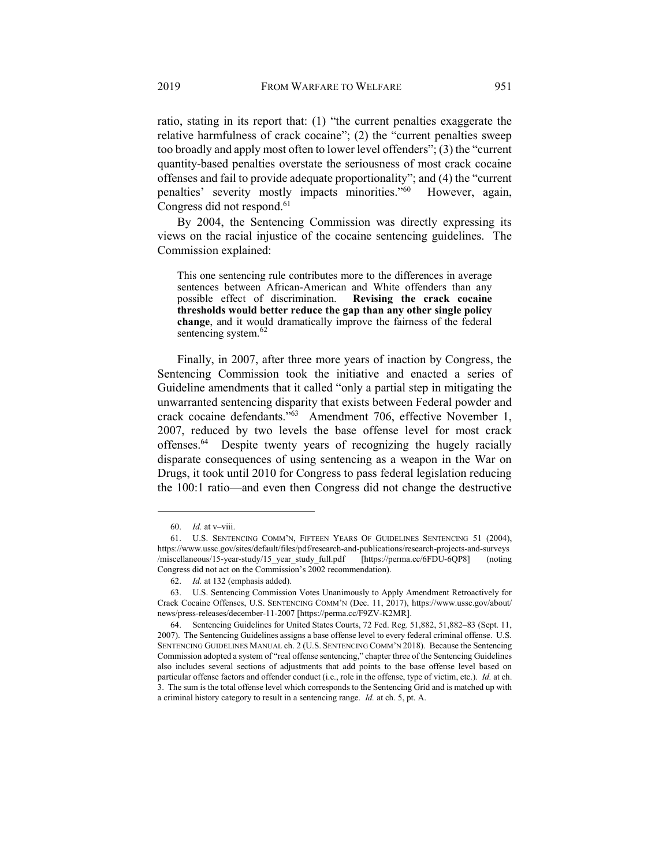ratio, stating in its report that: (1) "the current penalties exaggerate the relative harmfulness of crack cocaine"; (2) the "current penalties sweep too broadly and apply most often to lower level offenders"; (3) the "current quantity-based penalties overstate the seriousness of most crack cocaine offenses and fail to provide adequate proportionality"; and (4) the "current penalties' severity mostly impacts minorities."<sup>60</sup> However, again, Congress did not respond.<sup>61</sup>

By 2004, the Sentencing Commission was directly expressing its views on the racial injustice of the cocaine sentencing guidelines. The Commission explained:

This one sentencing rule contributes more to the differences in average sentences between African-American and White offenders than any possible effect of discrimination. Revising the crack cocaine thresholds would better reduce the gap than any other single policy change, and it would dramatically improve the fairness of the federal sentencing system.<sup>62</sup>

Finally, in 2007, after three more years of inaction by Congress, the Sentencing Commission took the initiative and enacted a series of Guideline amendments that it called "only a partial step in mitigating the unwarranted sentencing disparity that exists between Federal powder and crack cocaine defendants."<sup>63</sup> Amendment 706, effective November 1, 2007, reduced by two levels the base offense level for most crack offenses.<sup>64</sup> Despite twenty years of recognizing the hugely racially disparate consequences of using sentencing as a weapon in the War on Drugs, it took until 2010 for Congress to pass federal legislation reducing the 100:1 ratio—and even then Congress did not change the destructive

<sup>60.</sup> *Id.* at  $v$ -viii.

 <sup>61.</sup> U.S. SENTENCING COMM'N, FIFTEEN YEARS OF GUIDELINES SENTENCING 51 (2004), https://www.ussc.gov/sites/default/files/pdf/research-and-publications/research-projects-and-surveys /miscellaneous/15-year-study/15\_year\_study\_full.pdf [https://perma.cc/6FDU-6QP8] (noting Congress did not act on the Commission's 2002 recommendation).

 <sup>62.</sup> Id. at 132 (emphasis added).

 <sup>63.</sup> U.S. Sentencing Commission Votes Unanimously to Apply Amendment Retroactively for Crack Cocaine Offenses, U.S. SENTENCING COMM'N (Dec. 11, 2017), https://www.ussc.gov/about/ news/press-releases/december-11-2007 [https://perma.cc/F9ZV-K2MR].

 <sup>64.</sup> Sentencing Guidelines for United States Courts, 72 Fed. Reg. 51,882, 51,882–83 (Sept. 11, 2007). The Sentencing Guidelines assigns a base offense level to every federal criminal offense. U.S. SENTENCING GUIDELINES MANUAL ch. 2 (U.S. SENTENCING COMM'N 2018). Because the Sentencing Commission adopted a system of "real offense sentencing," chapter three of the Sentencing Guidelines also includes several sections of adjustments that add points to the base offense level based on particular offense factors and offender conduct (i.e., role in the offense, type of victim, etc.). Id. at ch. 3. The sum is the total offense level which corresponds to the Sentencing Grid and is matched up with a criminal history category to result in a sentencing range. Id. at ch. 5, pt. A.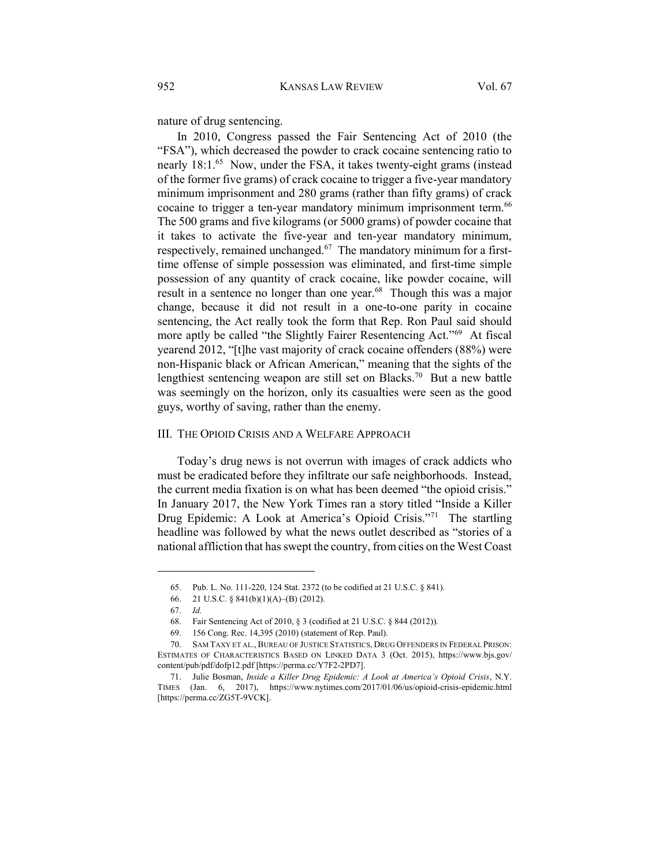nature of drug sentencing.

In 2010, Congress passed the Fair Sentencing Act of 2010 (the "FSA"), which decreased the powder to crack cocaine sentencing ratio to nearly 18:1.<sup>65</sup> Now, under the FSA, it takes twenty-eight grams (instead of the former five grams) of crack cocaine to trigger a five-year mandatory minimum imprisonment and 280 grams (rather than fifty grams) of crack cocaine to trigger a ten-year mandatory minimum imprisonment term.<sup>66</sup> The 500 grams and five kilograms (or 5000 grams) of powder cocaine that it takes to activate the five-year and ten-year mandatory minimum, respectively, remained unchanged.67 The mandatory minimum for a firsttime offense of simple possession was eliminated, and first-time simple possession of any quantity of crack cocaine, like powder cocaine, will result in a sentence no longer than one year.<sup>68</sup> Though this was a major change, because it did not result in a one-to-one parity in cocaine sentencing, the Act really took the form that Rep. Ron Paul said should more aptly be called "the Slightly Fairer Resentencing Act."<sup>69</sup> At fiscal yearend 2012, "[t]he vast majority of crack cocaine offenders (88%) were non-Hispanic black or African American," meaning that the sights of the lengthiest sentencing weapon are still set on Blacks.<sup>70</sup> But a new battle was seemingly on the horizon, only its casualties were seen as the good guys, worthy of saving, rather than the enemy.

#### III. THE OPIOID CRISIS AND A WELFARE APPROACH

Today's drug news is not overrun with images of crack addicts who must be eradicated before they infiltrate our safe neighborhoods. Instead, the current media fixation is on what has been deemed "the opioid crisis." In January 2017, the New York Times ran a story titled "Inside a Killer Drug Epidemic: A Look at America's Opioid Crisis."<sup>71</sup> The startling headline was followed by what the news outlet described as "stories of a national affliction that has swept the country, from cities on the West Coast

 <sup>65.</sup> Pub. L. No. 111-220, 124 Stat. 2372 (to be codified at 21 U.S.C. § 841).

 <sup>66. 21</sup> U.S.C. § 841(b)(1)(A)–(B) (2012).

 <sup>67.</sup> Id.

 <sup>68.</sup> Fair Sentencing Act of 2010, § 3 (codified at 21 U.S.C. § 844 (2012)).

 <sup>69. 156</sup> Cong. Rec. 14,395 (2010) (statement of Rep. Paul).

 <sup>70.</sup> SAM TAXY ET AL., BUREAU OF JUSTICE STATISTICS, DRUG OFFENDERS IN FEDERAL PRISON: ESTIMATES OF CHARACTERISTICS BASED ON LINKED DATA 3 (Oct. 2015), https://www.bjs.gov/ content/pub/pdf/dofp12.pdf [https://perma.cc/Y7F2-2PD7].

 <sup>71.</sup> Julie Bosman, Inside a Killer Drug Epidemic: A Look at America's Opioid Crisis, N.Y. TIMES (Jan. 6, 2017), https://www.nytimes.com/2017/01/06/us/opioid-crisis-epidemic.html [https://perma.cc/ZG5T-9VCK].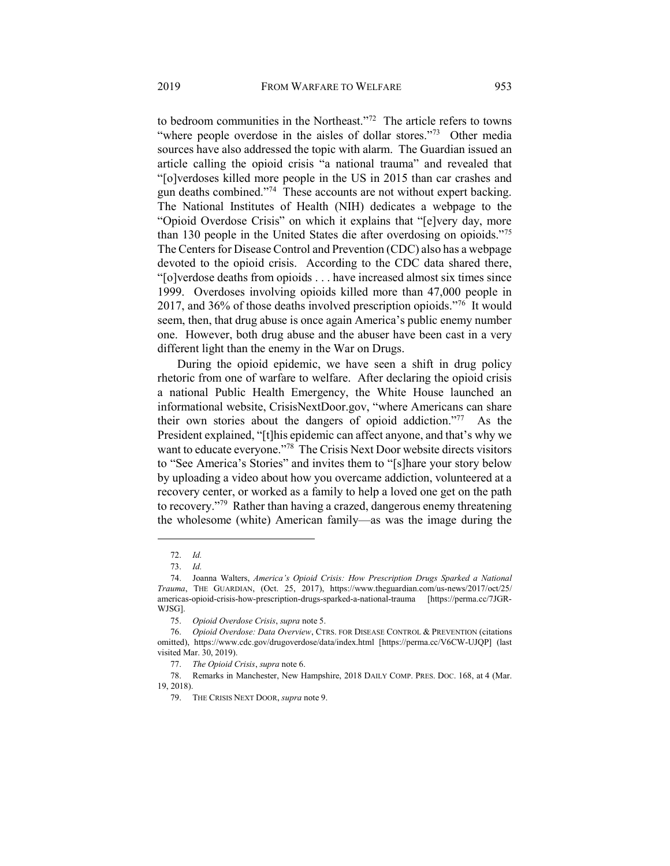to bedroom communities in the Northeast."<sup>72</sup> The article refers to towns "where people overdose in the aisles of dollar stores."<sup>73</sup> Other media sources have also addressed the topic with alarm. The Guardian issued an article calling the opioid crisis "a national trauma" and revealed that "[o]verdoses killed more people in the US in 2015 than car crashes and gun deaths combined."<sup>74</sup> These accounts are not without expert backing. The National Institutes of Health (NIH) dedicates a webpage to the "Opioid Overdose Crisis" on which it explains that "[e]very day, more than 130 people in the United States die after overdosing on opioids."<sup>75</sup> The Centers for Disease Control and Prevention (CDC) also has a webpage devoted to the opioid crisis. According to the CDC data shared there, "[o]verdose deaths from opioids . . . have increased almost six times since 1999. Overdoses involving opioids killed more than 47,000 people in 2017, and 36% of those deaths involved prescription opioids."<sup>76</sup> It would seem, then, that drug abuse is once again America's public enemy number one. However, both drug abuse and the abuser have been cast in a very different light than the enemy in the War on Drugs.

During the opioid epidemic, we have seen a shift in drug policy rhetoric from one of warfare to welfare. After declaring the opioid crisis a national Public Health Emergency, the White House launched an informational website, CrisisNextDoor.gov, "where Americans can share their own stories about the dangers of opioid addiction."<sup>77</sup> As the President explained, "[t]his epidemic can affect anyone, and that's why we want to educate everyone."<sup>78</sup> The Crisis Next Door website directs visitors to "See America's Stories" and invites them to "[s]hare your story below by uploading a video about how you overcame addiction, volunteered at a recovery center, or worked as a family to help a loved one get on the path to recovery."<sup>79</sup> Rather than having a crazed, dangerous enemy threatening the wholesome (white) American family—as was the image during the

 <sup>72.</sup> Id.

 <sup>73.</sup> Id.

 <sup>74.</sup> Joanna Walters, America's Opioid Crisis: How Prescription Drugs Sparked a National Trauma, THE GUARDIAN, (Oct. 25, 2017), https://www.theguardian.com/us-news/2017/oct/25/ americas-opioid-crisis-how-prescription-drugs-sparked-a-national-trauma [https://perma.cc/7JGR-WJSG].

 <sup>75.</sup> Opioid Overdose Crisis, supra note 5.

<sup>76.</sup> Opioid Overdose: Data Overview, CTRS. FOR DISEASE CONTROL & PREVENTION (citations omitted), https://www.cdc.gov/drugoverdose/data/index.html [https://perma.cc/V6CW-UJQP] (last visited Mar. 30, 2019).

 <sup>77.</sup> The Opioid Crisis, supra note 6.

 <sup>78.</sup> Remarks in Manchester, New Hampshire, 2018 DAILY COMP. PRES. DOC. 168, at 4 (Mar. 19, 2018).

<sup>79.</sup> THE CRISIS NEXT DOOR, supra note 9.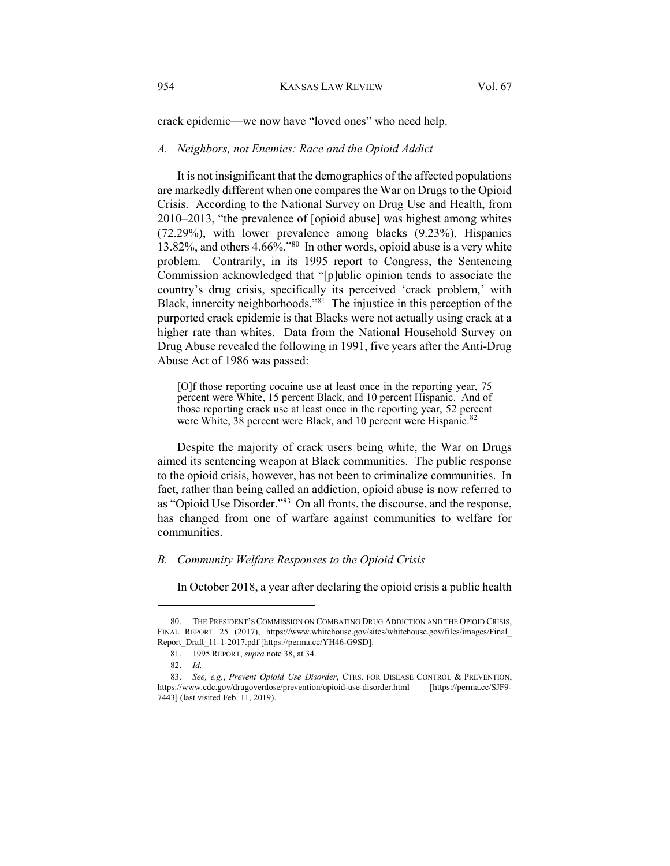crack epidemic—we now have "loved ones" who need help.

#### A. Neighbors, not Enemies: Race and the Opioid Addict

It is not insignificant that the demographics of the affected populations are markedly different when one compares the War on Drugs to the Opioid Crisis. According to the National Survey on Drug Use and Health, from 2010–2013, "the prevalence of [opioid abuse] was highest among whites (72.29%), with lower prevalence among blacks (9.23%), Hispanics 13.82%, and others 4.66%."<sup>80</sup> In other words, opioid abuse is a very white problem. Contrarily, in its 1995 report to Congress, the Sentencing Commission acknowledged that "[p]ublic opinion tends to associate the country's drug crisis, specifically its perceived 'crack problem,' with Black, innercity neighborhoods."<sup>81</sup> The injustice in this perception of the purported crack epidemic is that Blacks were not actually using crack at a higher rate than whites. Data from the National Household Survey on Drug Abuse revealed the following in 1991, five years after the Anti-Drug Abuse Act of 1986 was passed:

[O]f those reporting cocaine use at least once in the reporting year, 75 percent were White, 15 percent Black, and 10 percent Hispanic. And of those reporting crack use at least once in the reporting year, 52 percent were White, 38 percent were Black, and 10 percent were Hispanic.<sup>82</sup>

Despite the majority of crack users being white, the War on Drugs aimed its sentencing weapon at Black communities. The public response to the opioid crisis, however, has not been to criminalize communities. In fact, rather than being called an addiction, opioid abuse is now referred to as "Opioid Use Disorder."<sup>83</sup> On all fronts, the discourse, and the response, has changed from one of warfare against communities to welfare for communities.

# B. Community Welfare Responses to the Opioid Crisis

In October 2018, a year after declaring the opioid crisis a public health

 <sup>80.</sup> THE PRESIDENT'S COMMISSION ON COMBATING DRUG ADDICTION AND THE OPIOID CRISIS, FINAL REPORT 25 (2017), https://www.whitehouse.gov/sites/whitehouse.gov/files/images/Final\_ Report\_Draft\_11-1-2017.pdf [https://perma.cc/YH46-G9SD].

 <sup>81. 1995</sup> REPORT, supra note 38, at 34.

 <sup>82.</sup> Id.

<sup>83.</sup> See, e.g., Prevent Opioid Use Disorder, CTRS. FOR DISEASE CONTROL & PREVENTION, https://www.cdc.gov/drugoverdose/prevention/opioid-use-disorder.html [https://perma.cc/SJF9- 7443] (last visited Feb. 11, 2019).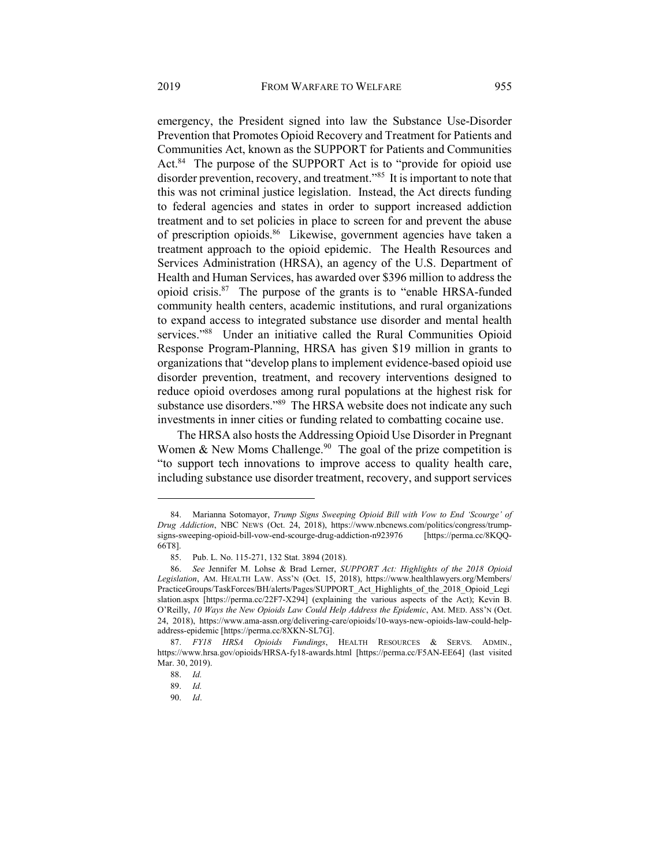emergency, the President signed into law the Substance Use-Disorder Prevention that Promotes Opioid Recovery and Treatment for Patients and Communities Act, known as the SUPPORT for Patients and Communities Act.<sup>84</sup> The purpose of the SUPPORT Act is to "provide for opioid use disorder prevention, recovery, and treatment.<sup>385</sup> It is important to note that this was not criminal justice legislation. Instead, the Act directs funding to federal agencies and states in order to support increased addiction treatment and to set policies in place to screen for and prevent the abuse of prescription opioids.<sup>86</sup> Likewise, government agencies have taken a treatment approach to the opioid epidemic. The Health Resources and Services Administration (HRSA), an agency of the U.S. Department of Health and Human Services, has awarded over \$396 million to address the opioid crisis.<sup>87</sup> The purpose of the grants is to "enable HRSA-funded community health centers, academic institutions, and rural organizations to expand access to integrated substance use disorder and mental health services."<sup>88</sup> Under an initiative called the Rural Communities Opioid Response Program-Planning, HRSA has given \$19 million in grants to organizations that "develop plans to implement evidence-based opioid use disorder prevention, treatment, and recovery interventions designed to reduce opioid overdoses among rural populations at the highest risk for substance use disorders."89 The HRSA website does not indicate any such investments in inner cities or funding related to combatting cocaine use.

The HRSA also hosts the Addressing Opioid Use Disorder in Pregnant Women & New Moms Challenge.<sup>90</sup> The goal of the prize competition is "to support tech innovations to improve access to quality health care, including substance use disorder treatment, recovery, and support services

 <sup>84.</sup> Marianna Sotomayor, Trump Signs Sweeping Opioid Bill with Vow to End 'Scourge' of Drug Addiction, NBC NEWS (Oct. 24, 2018), https://www.nbcnews.com/politics/congress/trumpsigns-sweeping-opioid-bill-vow-end-scourge-drug-addiction-n923976 [https://perma.cc/8KQQ-66T8].

 <sup>85.</sup> Pub. L. No. 115-271, 132 Stat. 3894 (2018).

 <sup>86.</sup> See Jennifer M. Lohse & Brad Lerner, SUPPORT Act: Highlights of the 2018 Opioid Legislation, AM. HEALTH LAW. ASS'N (Oct. 15, 2018), https://www.healthlawyers.org/Members/ PracticeGroups/TaskForces/BH/alerts/Pages/SUPPORT\_Act\_Highlights\_of\_the\_2018\_Opioid\_Legi slation.aspx [https://perma.cc/22F7-X294] (explaining the various aspects of the Act); Kevin B. O'Reilly, 10 Ways the New Opioids Law Could Help Address the Epidemic, AM. MED. ASS'N (Oct. 24, 2018), https://www.ama-assn.org/delivering-care/opioids/10-ways-new-opioids-law-could-helpaddress-epidemic [https://perma.cc/8XKN-SL7G].

 <sup>87.</sup> FY18 HRSA Opioids Fundings, HEALTH RESOURCES & SERVS. ADMIN., https://www.hrsa.gov/opioids/HRSA-fy18-awards.html [https://perma.cc/F5AN-EE64] (last visited Mar. 30, 2019).

 <sup>88.</sup> Id.

 <sup>89.</sup> Id.

 <sup>90.</sup> Id.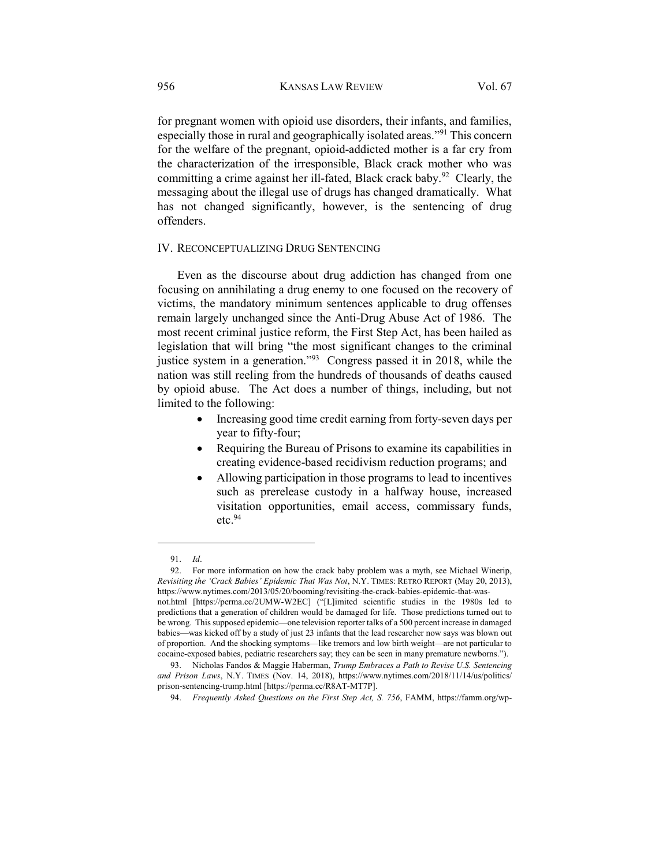for pregnant women with opioid use disorders, their infants, and families, especially those in rural and geographically isolated areas."<sup>91</sup> This concern for the welfare of the pregnant, opioid-addicted mother is a far cry from the characterization of the irresponsible, Black crack mother who was committing a crime against her ill-fated, Black crack baby.<sup>92</sup> Clearly, the messaging about the illegal use of drugs has changed dramatically. What has not changed significantly, however, is the sentencing of drug offenders.

# IV. RECONCEPTUALIZING DRUG SENTENCING

Even as the discourse about drug addiction has changed from one focusing on annihilating a drug enemy to one focused on the recovery of victims, the mandatory minimum sentences applicable to drug offenses remain largely unchanged since the Anti-Drug Abuse Act of 1986. The most recent criminal justice reform, the First Step Act, has been hailed as legislation that will bring "the most significant changes to the criminal justice system in a generation."<sup>93</sup> Congress passed it in 2018, while the nation was still reeling from the hundreds of thousands of deaths caused by opioid abuse. The Act does a number of things, including, but not limited to the following:

- Increasing good time credit earning from forty-seven days per year to fifty-four;
- Requiring the Bureau of Prisons to examine its capabilities in creating evidence-based recidivism reduction programs; and
- Allowing participation in those programs to lead to incentives such as prerelease custody in a halfway house, increased visitation opportunities, email access, commissary funds,  $etc.<sup>94</sup>$

 <sup>91.</sup> Id.

 <sup>92.</sup> For more information on how the crack baby problem was a myth, see Michael Winerip, Revisiting the 'Crack Babies' Epidemic That Was Not, N.Y. TIMES: RETRO REPORT (May 20, 2013), https://www.nytimes.com/2013/05/20/booming/revisiting-the-crack-babies-epidemic-that-was-

not.html [https://perma.cc/2UMW-W2EC] ("[L]imited scientific studies in the 1980s led to predictions that a generation of children would be damaged for life. Those predictions turned out to be wrong. This supposed epidemic—one television reporter talks of a 500 percent increase in damaged babies—was kicked off by a study of just 23 infants that the lead researcher now says was blown out of proportion. And the shocking symptoms—like tremors and low birth weight—are not particular to cocaine-exposed babies, pediatric researchers say; they can be seen in many premature newborns.").

<sup>93.</sup> Nicholas Fandos & Maggie Haberman, Trump Embraces a Path to Revise U.S. Sentencing and Prison Laws, N.Y. TIMES (Nov. 14, 2018), https://www.nytimes.com/2018/11/14/us/politics/ prison-sentencing-trump.html [https://perma.cc/R8AT-MT7P].

<sup>94.</sup> Frequently Asked Questions on the First Step Act, S. 756, FAMM, https://famm.org/wp-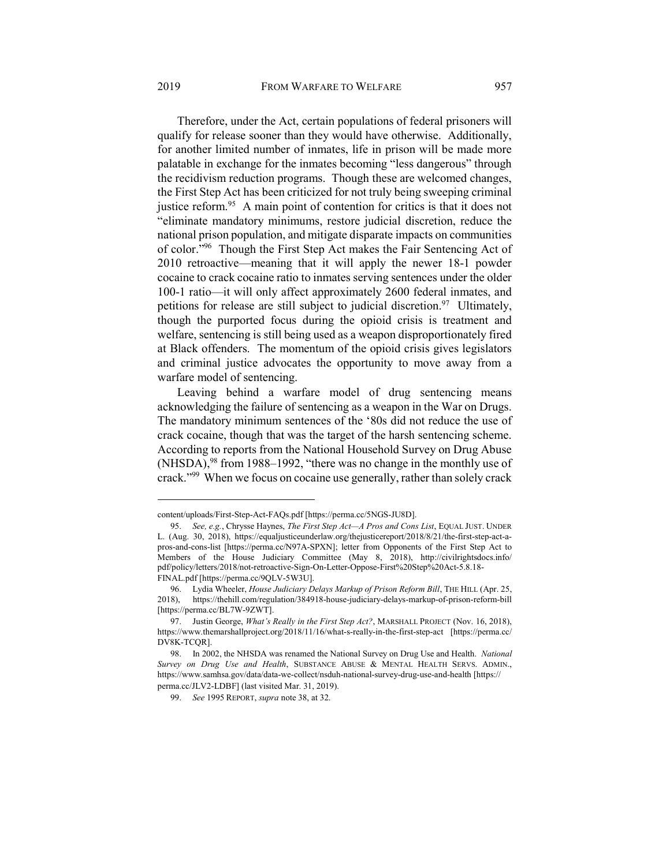Therefore, under the Act, certain populations of federal prisoners will qualify for release sooner than they would have otherwise. Additionally, for another limited number of inmates, life in prison will be made more palatable in exchange for the inmates becoming "less dangerous" through the recidivism reduction programs. Though these are welcomed changes, the First Step Act has been criticized for not truly being sweeping criminal justice reform.<sup>95</sup> A main point of contention for critics is that it does not "eliminate mandatory minimums, restore judicial discretion, reduce the national prison population, and mitigate disparate impacts on communities of color."<sup>96</sup> Though the First Step Act makes the Fair Sentencing Act of 2010 retroactive—meaning that it will apply the newer 18-1 powder cocaine to crack cocaine ratio to inmates serving sentences under the older 100-1 ratio—it will only affect approximately 2600 federal inmates, and petitions for release are still subject to judicial discretion.<sup>97</sup> Ultimately, though the purported focus during the opioid crisis is treatment and welfare, sentencing is still being used as a weapon disproportionately fired at Black offenders. The momentum of the opioid crisis gives legislators and criminal justice advocates the opportunity to move away from a warfare model of sentencing.

Leaving behind a warfare model of drug sentencing means acknowledging the failure of sentencing as a weapon in the War on Drugs. The mandatory minimum sentences of the '80s did not reduce the use of crack cocaine, though that was the target of the harsh sentencing scheme. According to reports from the National Household Survey on Drug Abuse  $(NHSDA)$ , <sup>98</sup> from 1988–1992, "there was no change in the monthly use of crack."<sup>99</sup> When we focus on cocaine use generally, rather than solely crack

content/uploads/First-Step-Act-FAQs.pdf [https://perma.cc/5NGS-JU8D].

<sup>95.</sup> See, e.g., Chrysse Haynes, The First Step Act—A Pros and Cons List, EQUAL JUST. UNDER L. (Aug. 30, 2018), https://equaljusticeunderlaw.org/thejusticereport/2018/8/21/the-first-step-act-apros-and-cons-list [https://perma.cc/N97A-SPXN]; letter from Opponents of the First Step Act to Members of the House Judiciary Committee (May 8, 2018), http://civilrightsdocs.info/ pdf/policy/letters/2018/not-retroactive-Sign-On-Letter-Oppose-First%20Step%20Act-5.8.18- FINAL.pdf [https://perma.cc/9QLV-5W3U].

<sup>96.</sup> Lydia Wheeler, House Judiciary Delays Markup of Prison Reform Bill, THE HILL (Apr. 25, 2018), https://thehill.com/regulation/384918-house-judiciary-delays-markup-of-prison-reform-bill [https://perma.cc/BL7W-9ZWT].

<sup>97.</sup> Justin George, What's Really in the First Step Act?, MARSHALL PROJECT (Nov. 16, 2018), https://www.themarshallproject.org/2018/11/16/what-s-really-in-the-first-step-act [https://perma.cc/ DV8K-TCQR].

 <sup>98.</sup> In 2002, the NHSDA was renamed the National Survey on Drug Use and Health. National Survey on Drug Use and Health, SUBSTANCE ABUSE & MENTAL HEALTH SERVS. ADMIN., https://www.samhsa.gov/data/data-we-collect/nsduh-national-survey-drug-use-and-health [https:// perma.cc/JLV2-LDBF] (last visited Mar. 31, 2019).

<sup>99.</sup> See 1995 REPORT, supra note 38, at 32.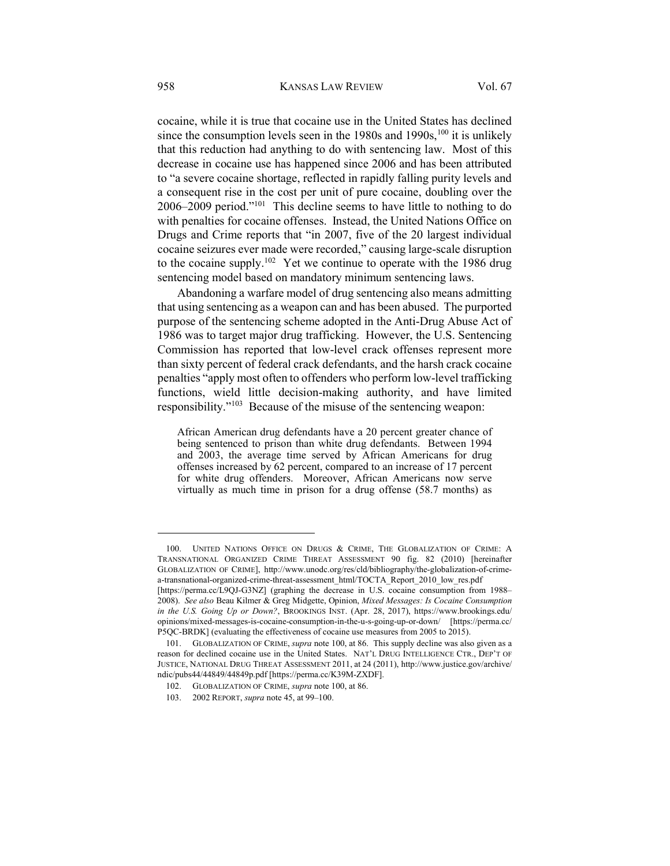cocaine, while it is true that cocaine use in the United States has declined since the consumption levels seen in the 1980s and 1990s,  $100$  it is unlikely that this reduction had anything to do with sentencing law. Most of this decrease in cocaine use has happened since 2006 and has been attributed to "a severe cocaine shortage, reflected in rapidly falling purity levels and a consequent rise in the cost per unit of pure cocaine, doubling over the 2006–2009 period."<sup>101</sup> This decline seems to have little to nothing to do with penalties for cocaine offenses. Instead, the United Nations Office on Drugs and Crime reports that "in 2007, five of the 20 largest individual cocaine seizures ever made were recorded," causing large-scale disruption to the cocaine supply.<sup>102</sup> Yet we continue to operate with the 1986 drug sentencing model based on mandatory minimum sentencing laws.

Abandoning a warfare model of drug sentencing also means admitting that using sentencing as a weapon can and has been abused. The purported purpose of the sentencing scheme adopted in the Anti-Drug Abuse Act of 1986 was to target major drug trafficking. However, the U.S. Sentencing Commission has reported that low-level crack offenses represent more than sixty percent of federal crack defendants, and the harsh crack cocaine penalties "apply most often to offenders who perform low-level trafficking functions, wield little decision-making authority, and have limited responsibility."<sup>103</sup> Because of the misuse of the sentencing weapon:

African American drug defendants have a 20 percent greater chance of being sentenced to prison than white drug defendants. Between 1994 and 2003, the average time served by African Americans for drug offenses increased by 62 percent, compared to an increase of 17 percent for white drug offenders. Moreover, African Americans now serve virtually as much time in prison for a drug offense (58.7 months) as

 100. UNITED NATIONS OFFICE ON DRUGS & CRIME, THE GLOBALIZATION OF CRIME: A TRANSNATIONAL ORGANIZED CRIME THREAT ASSESSMENT 90 fig. 82 (2010) [hereinafter GLOBALIZATION OF CRIME], http://www.unodc.org/res/cld/bibliography/the-globalization-of-crimea-transnational-organized-crime-threat-assessment\_html/TOCTA\_Report\_2010\_low\_res.pdf

<sup>[</sup>https://perma.cc/L9QJ-G3NZ] (graphing the decrease in U.S. cocaine consumption from 1988– 2008). See also Beau Kilmer & Greg Midgette, Opinion, Mixed Messages: Is Cocaine Consumption in the U.S. Going Up or Down?, BROOKINGS INST. (Apr. 28, 2017), https://www.brookings.edu/ opinions/mixed-messages-is-cocaine-consumption-in-the-u-s-going-up-or-down/ [https://perma.cc/ P5QC-BRDK] (evaluating the effectiveness of cocaine use measures from 2005 to 2015).

<sup>101.</sup> GLOBALIZATION OF CRIME, supra note 100, at 86. This supply decline was also given as a reason for declined cocaine use in the United States. NAT'L DRUG INTELLIGENCE CTR., DEP'T OF JUSTICE, NATIONAL DRUG THREAT ASSESSMENT 2011, at 24 (2011), http://www.justice.gov/archive/ ndic/pubs44/44849/44849p.pdf [https://perma.cc/K39M-ZXDF].

 <sup>102.</sup> GLOBALIZATION OF CRIME, supra note 100, at 86.

 <sup>103. 2002</sup> REPORT, supra note 45, at 99–100.